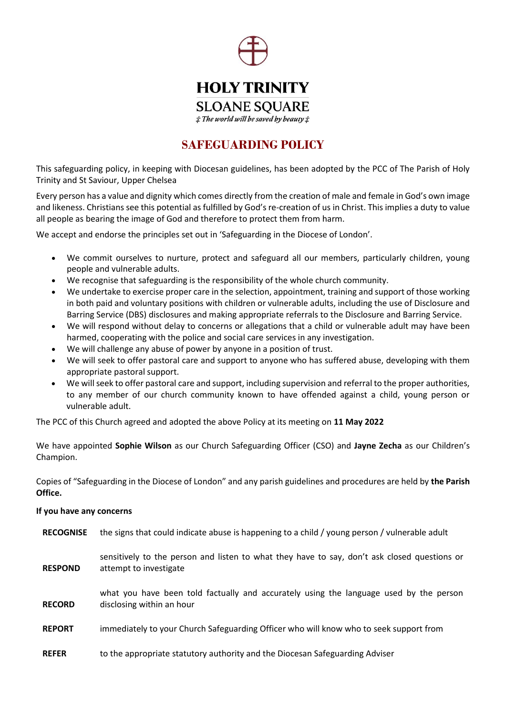

## **SAFEGUARDING POLICY**

This safeguarding policy, in keeping with Diocesan guidelines, has been adopted by the PCC of The Parish of Holy Trinity and St Saviour, Upper Chelsea

Every person has a value and dignity which comes directly from the creation of male and female in God's own image and likeness. Christians see this potential as fulfilled by God's re-creation of us in Christ. This implies a duty to value all people as bearing the image of God and therefore to protect them from harm.

We accept and endorse the principles set out in 'Safeguarding in the Diocese of London'.

- We commit ourselves to nurture, protect and safeguard all our members, particularly children, young people and vulnerable adults.
- We recognise that safeguarding is the responsibility of the whole church community.
- We undertake to exercise proper care in the selection, appointment, training and support of those working in both paid and voluntary positions with children or vulnerable adults, including the use of Disclosure and Barring Service (DBS) disclosures and making appropriate referrals to the Disclosure and Barring Service.
- We will respond without delay to concerns or allegations that a child or vulnerable adult may have been harmed, cooperating with the police and social care services in any investigation.
- We will challenge any abuse of power by anyone in a position of trust.
- We will seek to offer pastoral care and support to anyone who has suffered abuse, developing with them appropriate pastoral support.
- We will seek to offer pastoral care and support, including supervision and referral to the proper authorities, to any member of our church community known to have offended against a child, young person or vulnerable adult.

The PCC of this Church agreed and adopted the above Policy at its meeting on **11 May 2022**

We have appointed **Sophie Wilson** as our Church Safeguarding Officer (CSO) and **Jayne Zecha** as our Children's Champion.

Copies of "Safeguarding in the Diocese of London" and any parish guidelines and procedures are held by **the Parish Office.**

#### **If you have any concerns**

| <b>RECOGNISE</b> | the signs that could indicate abuse is happening to a child / young person / vulnerable adult                          |
|------------------|------------------------------------------------------------------------------------------------------------------------|
| <b>RESPOND</b>   | sensitively to the person and listen to what they have to say, don't ask closed questions or<br>attempt to investigate |
| <b>RECORD</b>    | what you have been told factually and accurately using the language used by the person<br>disclosing within an hour    |
| <b>REPORT</b>    | immediately to your Church Safeguarding Officer who will know who to seek support from                                 |
| <b>REFER</b>     | to the appropriate statutory authority and the Diocesan Safeguarding Adviser                                           |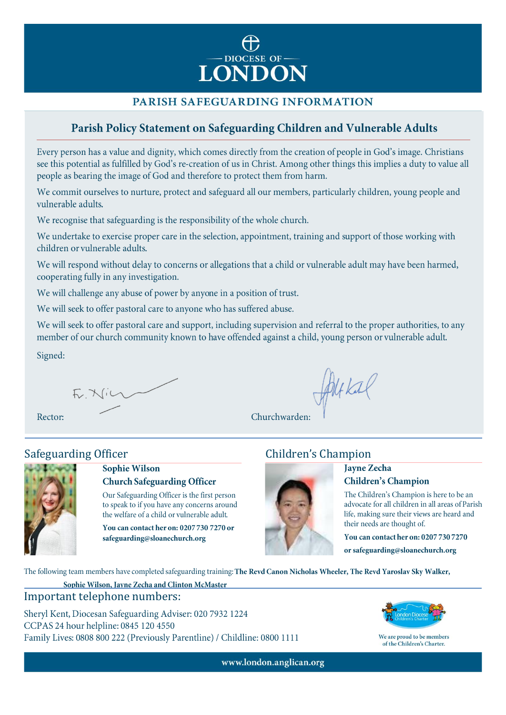

### PARISH SAFEGUARDING INFORMATION

## Parish Policy Statement on Safeguarding Children and Vulnerable Adults

Every person has a value and dignity, which comes directly from the creation of people in God's image. Christians see this potential as fulfilled by God's re-creation of us in Christ. Among other things this implies a duty to value all people as bearing the image of God and therefore to protect them from harm.

We commit ourselves to nurture, protect and safeguard all our members, particularly children, young people and vulnerable adults.

We recognise that safeguarding is the responsibility of the whole church.

We undertake to exercise proper care in the selection, appointment, training and support of those working with children or vulnerable adults.

We will respond without delay to concerns or allegations that a child or vulnerable adult may have been harmed, cooperating fully in any investigation.

We will challenge any abuse of power by anyone in a position of trust.

We will seek to offer pastoral care to anyone who has suffered abuse.

We will seek to offer pastoral care and support, including supervision and referral to the proper authorities, to any member of our church community known to have offended against a child, young person or vulnerable adult.

Signed:

F. Nin

**Sophie Wilson** 

Rector:

# **Safeguarding Officer**



#### **Church Safeguarding Officer**

Our Safeguarding Officer is the first person to speak to if you have any concerns around the welfare of a child or vulnerable adult.

You can contact her on: 0207 730 7270 or safeguarding@sloanechurch.org

# **Children's Champion**

Altkal



Churchwarden:

#### **Jayne Zecha Children's Champion**

The Children's Champion is here to be an advocate for all children in all areas of Parish life, making sure their views are heard and their needs are thought of.

You can contact her on: 0207 730 7270

or safeguarding@sloanechurch.org

The following team members have completed safeguarding training: The Revd Canon Nicholas Wheeler, The Revd Yaroslav Sky Walker,

Sophie Wilson, Jayne Zecha and Clinton McMaster Important telephone numbers:

Sheryl Kent, Diocesan Safeguarding Adviser: 020 7932 1224 CCPAS 24 hour helpline: 0845 120 4550 Family Lives: 0808 800 222 (Previously Parentline) / Childline: 0800 1111



We are proud to be members of the Children's Charter.

www.london.anglican.org